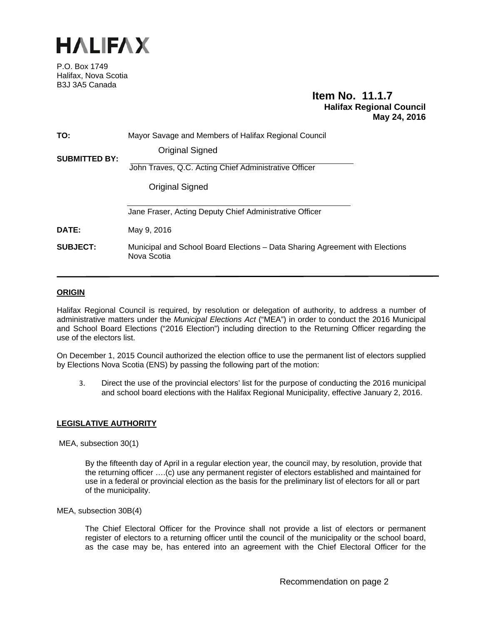

P.O. Box 1749 Halifax, Nova Scotia B3J 3A5 Canada

# **Item No. 11.1.7 Halifax Regional Council May 24, 2016**

| TO:                  | Mayor Savage and Members of Halifax Regional Council                                        |
|----------------------|---------------------------------------------------------------------------------------------|
| <b>SUBMITTED BY:</b> | Original Signed                                                                             |
|                      | John Traves, Q.C. Acting Chief Administrative Officer                                       |
|                      | Original Signed                                                                             |
|                      | Bruce Zvaniga Acting Deputy Chief Administrative Officer                                    |
| DATE:                | May 9, 2016                                                                                 |
| <b>SUBJECT:</b>      | Municipal and School Board Elections – Data Sharing Agreement with Elections<br>Nova Scotia |

# **ORIGIN**

Halifax Regional Council is required, by resolution or delegation of authority, to address a number of administrative matters under the *Municipal Elections Act* ("MEA") in order to conduct the 2016 Municipal and School Board Elections ("2016 Election") including direction to the Returning Officer regarding the use of the electors list.

On December 1, 2015 Council authorized the election office to use the permanent list of electors supplied by Elections Nova Scotia (ENS) by passing the following part of the motion:

3. Direct the use of the provincial electors' list for the purpose of conducting the 2016 municipal and school board elections with the Halifax Regional Municipality, effective January 2, 2016.

# **LEGISLATIVE AUTHORITY**

MEA, subsection 30(1)

By the fifteenth day of April in a regular election year, the council may, by resolution, provide that the returning officer ….(c) use any permanent register of electors established and maintained for use in a federal or provincial election as the basis for the preliminary list of electors for all or part of the municipality.

MEA, subsection 30B(4)

The Chief Electoral Officer for the Province shall not provide a list of electors or permanent register of electors to a returning officer until the council of the municipality or the school board, as the case may be, has entered into an agreement with the Chief Electoral Officer for the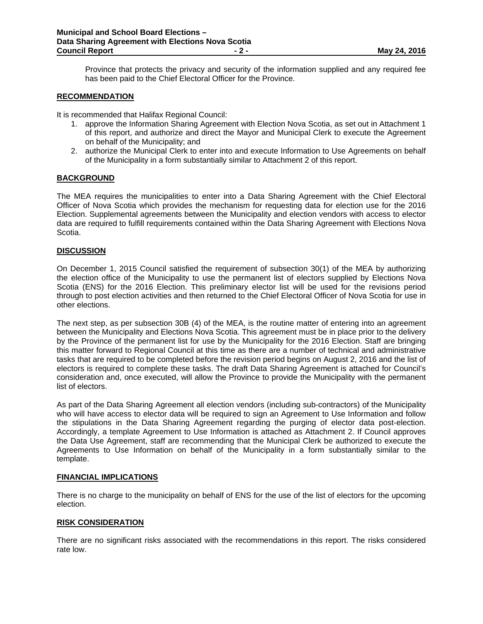Province that protects the privacy and security of the information supplied and any required fee has been paid to the Chief Electoral Officer for the Province.

#### **RECOMMENDATION**

It is recommended that Halifax Regional Council:

- 1. approve the Information Sharing Agreement with Election Nova Scotia, as set out in Attachment 1 of this report, and authorize and direct the Mayor and Municipal Clerk to execute the Agreement on behalf of the Municipality; and
- 2. authorize the Municipal Clerk to enter into and execute Information to Use Agreements on behalf of the Municipality in a form substantially similar to Attachment 2 of this report.

# **BACKGROUND**

The MEA requires the municipalities to enter into a Data Sharing Agreement with the Chief Electoral Officer of Nova Scotia which provides the mechanism for requesting data for election use for the 2016 Election. Supplemental agreements between the Municipality and election vendors with access to elector data are required to fulfill requirements contained within the Data Sharing Agreement with Elections Nova Scotia.

### **DISCUSSION**

On December 1, 2015 Council satisfied the requirement of subsection 30(1) of the MEA by authorizing the election office of the Municipality to use the permanent list of electors supplied by Elections Nova Scotia (ENS) for the 2016 Election. This preliminary elector list will be used for the revisions period through to post election activities and then returned to the Chief Electoral Officer of Nova Scotia for use in other elections.

The next step, as per subsection 30B (4) of the MEA, is the routine matter of entering into an agreement between the Municipality and Elections Nova Scotia. This agreement must be in place prior to the delivery by the Province of the permanent list for use by the Municipality for the 2016 Election. Staff are bringing this matter forward to Regional Council at this time as there are a number of technical and administrative tasks that are required to be completed before the revision period begins on August 2, 2016 and the list of electors is required to complete these tasks. The draft Data Sharing Agreement is attached for Council's consideration and, once executed, will allow the Province to provide the Municipality with the permanent list of electors.

As part of the Data Sharing Agreement all election vendors (including sub-contractors) of the Municipality who will have access to elector data will be required to sign an Agreement to Use Information and follow the stipulations in the Data Sharing Agreement regarding the purging of elector data post-election. Accordingly, a template Agreement to Use Information is attached as Attachment 2. If Council approves the Data Use Agreement, staff are recommending that the Municipal Clerk be authorized to execute the Agreements to Use Information on behalf of the Municipality in a form substantially similar to the template.

#### **FINANCIAL IMPLICATIONS**

There is no charge to the municipality on behalf of ENS for the use of the list of electors for the upcoming election.

# **RISK CONSIDERATION**

There are no significant risks associated with the recommendations in this report. The risks considered rate low.